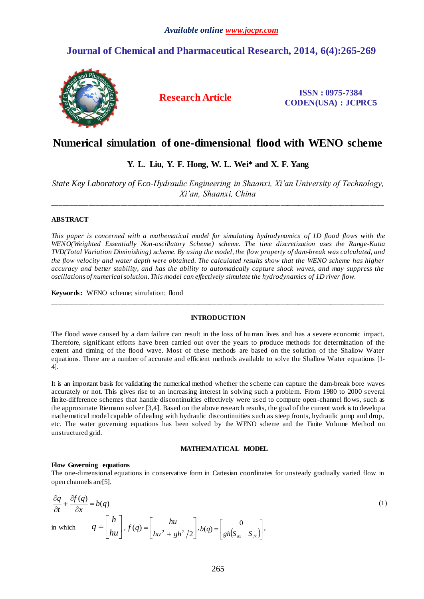# **Journal of Chemical and Pharmaceutical Research, 2014, 6(4):265-269**



**Research Article ISSN : 0975-7384 CODEN(USA) : JCPRC5**

# **Numerical simulation of one-dimensional flood with WENO scheme**

## **Y. L. Liu, Y. F. Hong, W. L. Wei\* and X. F. Yang**

*State Key Laboratory of Eco-Hydraulic Engineering in Shaanxi, Xi'an University of Technology, Xi'an, Shaanxi, China* 

\_\_\_\_\_\_\_\_\_\_\_\_\_\_\_\_\_\_\_\_\_\_\_\_\_\_\_\_\_\_\_\_\_\_\_\_\_\_\_\_\_\_\_\_\_\_\_\_\_\_\_\_\_\_\_\_\_\_\_\_\_\_\_\_\_\_\_\_\_\_\_\_\_\_\_\_\_\_\_\_\_\_\_\_\_\_\_\_\_\_\_\_\_

## **ABSTRACT**

*This paper is concerned with a mathematical model for simulating hydrodynamics of 1D flood flows with the WENO(Weighted Essentially Non-oscillatory Scheme) scheme. The time discretization uses the Runge-Kutta TVD(Total Variation Diminishing) scheme. By using the model, the flow property of dam-break was calculated, and the flow velocity and water depth were obtained. The calculated results show that the WENO scheme has higher accuracy and better stability, and has the ability to automatically capture shock waves, and may suppress the oscillations of numerical solution. This model can effectively simulate the hydrodynamics of 1D river flow.*

**Keywords:** WENO scheme; simulation; flood

## **INTRODUCTION**

\_\_\_\_\_\_\_\_\_\_\_\_\_\_\_\_\_\_\_\_\_\_\_\_\_\_\_\_\_\_\_\_\_\_\_\_\_\_\_\_\_\_\_\_\_\_\_\_\_\_\_\_\_\_\_\_\_\_\_\_\_\_\_\_\_\_\_\_\_\_\_\_\_\_\_\_\_\_\_\_\_\_\_\_\_\_\_\_\_\_\_\_\_

The flood wave caused by a dam failure can result in the loss of human lives and has a severe economic impact. Therefore, significant efforts have been carried out over the years to produce methods for determination of the extent and timing of the flood wave. Most of these methods are based on the solution of the Shallow Water equations. There are a number of accurate and efficient methods available to solve the Shallow Water equations [1- 4].

It is an important basis for validating the numerical method whether the scheme can capture the dam-break bore waves accurately or not. This gives rise to an increasing interest in solving such a problem. From 1980 to 2000 several finite-difference schemes that handle discontinuities effectively were used to compute open -channel flows, such as the approximate Riemann solver [3,4]. Based on the above research results, the goal of the current work is to develop a mathematical model capable of dealing with hydraulic discontinuities such as steep fronts, hydraulic jump and drop, etc. The water governing equations has been solved by the WENO scheme and the Finite Volume Method on unstructured grid.

## **MATHEMATICAL MODEL**

## **Flow Governing equations**

The one-dimensional equations in conservative form in Cartesian coordinates for unsteady gradually varied flow in open channels are[5].

$$
\frac{\partial q}{\partial t} + \frac{\partial f(q)}{\partial x} = b(q)
$$
\nin which

\n
$$
q = \begin{bmatrix} h \\ hu \end{bmatrix}, f(q) = \begin{bmatrix} hu \\ hu^2 + gh^2/2 \end{bmatrix}, b(q) = \begin{bmatrix} 0 \\ gh(S_{ax} - S_{fx}) \end{bmatrix},
$$
\n(1)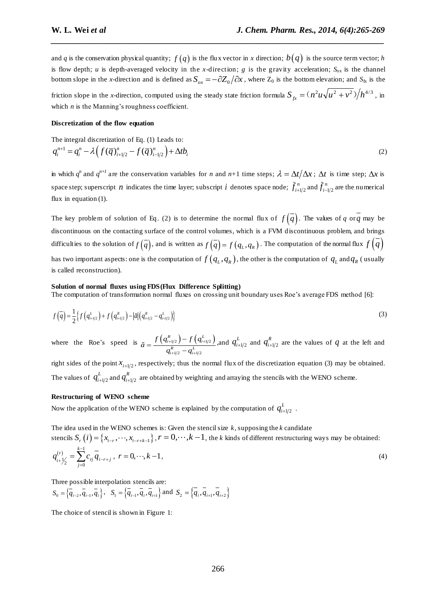and  $q$  is the conservation physical quantity;  $f(q)$  is the flux vector in  $x$  direction;  $b(q)$  is the source term vector;  $h$ is flow depth; *u* is depth-averaged velocity in the *x*-direction; *g* is the gravity acceleration;  $S_{ox}$  is the channel bottom slope in the *x*-direction and is defined as  $S_{ox} = -\partial Z_0/\partial x$ , where  $Z_0$  is the bottom elevation; and  $S_{fx}$  is the friction slope in the *x*-direction, computed using the steady state friction formula  $S_{fx} = (n^2 u \sqrt{u^2 + v^2})/h^{4/3}$ , in which *n* is the Manning's roughness coefficient.

*\_\_\_\_\_\_\_\_\_\_\_\_\_\_\_\_\_\_\_\_\_\_\_\_\_\_\_\_\_\_\_\_\_\_\_\_\_\_\_\_\_\_\_\_\_\_\_\_\_\_\_\_\_\_\_\_\_\_\_\_\_\_\_\_\_\_\_\_\_\_\_\_\_\_\_\_\_\_*

## **Discretization of the flow equation**

The integral discretization of Eq. (1) leads to:  
\n
$$
q_i^{n+1} = q_i^n - \lambda \Big( f(\overline{q})_{i+1/2}^n - f(\overline{q})_{i-1/2}^n \Big) + \Delta t b_i
$$
\n(2)

in which  $q^n$  and  $q^{n+1}$  are the conservation variables for *n* and *n*+1 time steps;  $\lambda = \Delta t / \Delta x$ ;  $\Delta t$  is time step;  $\Delta x$  is space step; superscript *n* indicates the time layer; subscript *i* denotes space node;  $\bar{f}_{i+}^n$  $\bar{f}_{i+1/2}^{\,n}$  and  $\bar{f}_{i-}^{\,n}$  $f_{i-1/2}^n$  are the numerical flux in equation (1).

The key problem of solution of Eq. (2) is to determine the normal flux of  $f(q)$ . The values of *q* or *q* may be discontinuous on the contacting surface of the control volumes, which is a FVM discontinuous problem, and brings difficulties to the solution of  $f(q)$ , and is written as  $f(q) = f(q_L, q_R)$ . The computation of the normal flux  $f(q)$ has two important aspects: one is the computation of  $f(q_L, q_R)$ , the other is the computation of  $q_L$  and  $q_R$  (usually is called reconstruction).

#### **Solution of normal fluxes using FDS(Flux Difference Splitting)**

The computation of transformation normal fluxes on crossing unit boundary uses Roe's average FDS method [6]:

$$
f\left(\overline{q}\right) = \frac{1}{2} \left\{ f\left(q_{i+1/2}^{L}\right) + f\left(q_{i+1/2}^{R}\right) - \left|\tilde{a}\right| \left(q_{i+1/2}^{R} - q_{i+1/2}^{L}\right) \right\}
$$
\n(3)

where the Roe's speed is  $\tilde{a} = \frac{f(q_{i+l/2}^R) - f(q_{i+l/2}^L)}{f(q_{i+l/2}^L)}$  $q_{i+1/2} - q_{i+1/2}$  $\binom{R}{i+1/2} - f\left(q_{i+1}^L\right)$  $\frac{R}{i+1/2} - q_{i+1}^L$  $\tilde{a} = \frac{f\left(q_{i+l/2}^R\right)-f\left(q_{i+l/2}^L\right)}{q_{i+l/2}^R-q_{i+l/2}^L}$  $n_{+1/2}^{\kappa}-q_{i+1/2}^L$  $\overline{\phantom{0}}$  $=\frac{f'(q_{i+1/2})}{q_{i+1/2}^R-q_{i+1/2}^R}$ ,and  $q_{i+1/2}^L$  $q_{i+1/2}^L$  and  $q_{i+1/2}^R$  $q_{i+1/2}^R$  are the values of  $q$  at the left and

right sides of the point  $x_{i+1/2}$ , respectively; thus the normal flux of the discretization equation (3) may be obtained. The values of  $q_{i+1/2}^{\mu}$  $q^L_{i+1/2}$  and  $q^R_{i+1/2}$  $q_{i+l/2}^R$  are obtained by weighting and arraying the stencils with the WENO scheme.

## **Restructuring of WENO scheme**

Now the application of the WENO scheme is explained by the computation of  $q_{i+1/2}^L$  $q^L_{i+1/2}$  .

The idea used in the WENO schemes is: Given the stencil size *k,* supposing the *k* candidate stencils  $S_r(i) = \{x_{i-r}, \dots, x_{i-r+k-1}\}\$ ,  $r = 0, \dots, k-1$ , the *k* kinds of different restructuring ways may be obtained:  $(r)$   $\sum_{k=1}^{k-1}$  $\frac{1}{2} - \sum_{j=0}$  $\sum_{i+1/2}^{(r)} = \sum_{j=0}^{k-1} c_{rj} \overline{q}_{i-r+j}$  $q_{i+1}^{(r)} = \sum_{i=1}^{k-1} c_{ri} q^{r}$  $\overline{r}_{t+1/2}^{(r)} = \sum_{j=0}^{r} c_{rj} \overline{q}_{i-r+j}, \ r = 0, \cdots, k-1,$ (4)

Three possible interpolation stencils are:

$$
S_0 = \left\{ \overline{q}_{i-2}, \overline{q}_{i-1}, \overline{q}_i \right\}, \quad S_1 = \left\{ \overline{q}_{i-1}, \overline{q}_i, \overline{q}_{i+1} \right\} \text{ and } S_2 = \left\{ \overline{q}_i, \overline{q}_{i+1}, \overline{q}_{i+2} \right\}
$$

The choice of stencil is shown in Figure 1: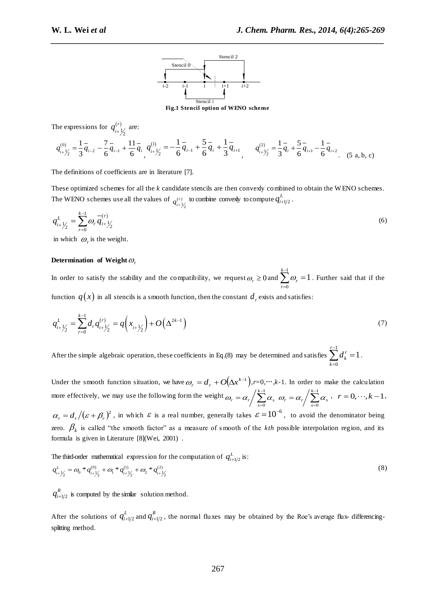

**Fig.1 Stencil option of WENO scheme**

*\_\_\_\_\_\_\_\_\_\_\_\_\_\_\_\_\_\_\_\_\_\_\_\_\_\_\_\_\_\_\_\_\_\_\_\_\_\_\_\_\_\_\_\_\_\_\_\_\_\_\_\_\_\_\_\_\_\_\_\_\_\_\_\_\_\_\_\_\_\_\_\_\_\_\_\_\_\_*

The expressions for  $q_{n+1}^{(r)}$  $\frac{1}{2}$ *r*  $q_{i+\frac{1}{2}}^{(r)}$  are:

$$
q_{i+\frac{1}{2}}^{(0)} = \frac{1}{3}\overline{q}_{i-2} - \frac{7}{6}\overline{q}_{i-1} + \frac{11}{6}\overline{q}_{i} + \frac{11}{2} = -\frac{1}{6}\overline{q}_{i-1} + \frac{5}{6}\overline{q}_{i} + \frac{1}{3}\overline{q}_{i+1} + \frac{1}{6}\overline{q}_{i+1} + \frac{1}{3}\overline{q}_{i+1} + \frac{1}{3}\overline{q}_{i+1} + \frac{1}{6}\overline{q}_{i+1} - \frac{1}{6}\overline{q}_{i+2} + \frac{1}{6}\overline{q}_{i+2} + \frac{1}{6}\overline{q}_{i+1} - \frac{1}{6}\overline{q}_{i+2} + \frac{1}{6}\overline{q}_{i+1} + \frac{1}{6}\overline{q}_{i+1} + \frac{1}{6}\overline{q}_{i+1} + \frac{1}{6}\overline{q}_{i+1} + \frac{1}{6}\overline{q}_{i+1} + \frac{1}{6}\overline{q}_{i+1} + \frac{1}{6}\overline{q}_{i+1} + \frac{1}{6}\overline{q}_{i+1} + \frac{1}{6}\overline{q}_{i+1} + \frac{1}{6}\overline{q}_{i+1} + \frac{1}{6}\overline{q}_{i+1} + \frac{1}{6}\overline{q}_{i+1} + \frac{1}{6}\overline{q}_{i+1} + \frac{1}{6}\overline{q}_{i+1} + \frac{1}{6}\overline{q}_{i+1} + \frac{1}{6}\overline{q}_{i+1} + \frac{1}{6}\overline{q}_{i+1} + \frac{1}{6}\overline{q}_{i+1} + \frac{1}{6}\overline{q}_{i+1} + \frac{1}{6}\overline{q}_{i+1} + \frac{1}{6}\overline{q}_{i+1} + \frac{1}{6}\overline{q}_{i+1} + \frac{1}{6}\overline{q}_{i+1} + \frac{1}{6}\overline{q}_{i+1} + \frac{1}{6}\overline{q}_{i+1} + \frac{1}{6}\overline{q}_{i+1} + \frac{1}{6}\overline{q}_{i+1} + \frac{1}{6}\overline{q}_{i+1} + \frac{1}{6}\overline{q}_{i+1} + \frac{1}{6
$$

The definitions of coefficients are in literature [7].

These optimized schemes for all the *k* candidate stencils are then convexly combined to obtain the W ENO schemes. The WENO schemes use all the values of  $q_{i+\frac{1}{2}}^{(r)}$ *r*  $q_{i+\frac{1}{2}}^{(r)}$  to combine convexly to compute  $q_{i+\frac{1}{2}}^{L}$  $q^L_{i+1/2}$  .

$$
q_{i+\frac{1}{2}}^{L} = \sum_{r=0}^{k-1} \omega_r \overline{q}_{i+\frac{1}{2}}^{-(r)} \tag{6}
$$

in which  $\omega_r$  is the weight.

## Determination of Weight  $\omega_r$

In order to satisfy the stability and the compatibility, we request  $\omega_r \ge 0$  and  $\sum_{n=1}^{k-1}$  $\overline{a}$  $\int\limits_{-r}^{1} \omega_r =$ 0 1 *k r*  $\omega_r = 1$ . Further said that if the function  $\,q(x)$  in all stencils is a smooth function, then the constant  $\,d_{_{r}}$  exists and satisfies:

$$
q_{i+\frac{1}{2}}^{L} = \sum_{r=0}^{k-1} d_r q_{i+\frac{1}{2}}^{(r)} = q\left(x_{i+\frac{1}{2}}\right) + O\left(\Delta^{2k-1}\right)
$$
\n(7)

After the simple algebraic operation, these coefficients in Eq.(8) may be determined and satisfies  $\sum d_k^r = 1$ 1  $\sum_{k=0}^{r-1} d_k^r =$ = *r k*  $d_k^r = 1$ .

Under the smooth function situation, we have  $\omega_r = d_r + O(\Delta x^{k-1})$ , *r*=0,…,*k*-1. In order to make the calculation more effectively, we may use the following form the weight  $\omega_r = \alpha_r / \sum_{r=1}^{k-1}$  $\overline{a}$  $=\alpha_r\bigg/\sum_{k=1}^{k-1}$  $\mathbf{0}$ *k*  $\omega_r = \alpha_r \bigg/ \sum_{s=0}^{k-1} \alpha_s \;\; \omega_r = \alpha_r \bigg/ \sum_{s=0}^{k-1}$  $\overline{a}$  $=\alpha_r\bigg/\sum_{k=1}^{k-1}$  $\mathbf{0}$ *k*  $\omega_r = \alpha_r / \sum_{s=0}^{k-1} \alpha_s, \quad r = 0, \dots, k-1,$  $\alpha_r = d_r/(\varepsilon + \beta_r)^2$ , in which  $\varepsilon$  is a real number, generally takes  $\varepsilon = 10^{-6}$ , to avoid the denominator being zero.  $\beta_k$  is called "the smooth factor" as a measure of smooth of the *kth* possible interpolation region, and its formula is given in Literature [8](Wei, 2001) .

The third-order mathematical expression for the computation of  $q_{i+1/2}^L$  is:

The third-order mathematical expression for the computation of 
$$
q_{i+1/2}^{\perp}
$$
 is:  
\n
$$
q_{i+\frac{1}{2}}^{\perp} = \omega_0 * q_{i+\frac{1}{2}}^{(0)} + \omega_1 * q_{i+\frac{1}{2}}^{(1)} + \omega_2 * q_{i+\frac{1}{2}}^{(2)}
$$
\n(8)

 $1/2$  $q_{i+l/2}^R$  is computed by the similar solution method.

After the solutions of  $q_{i+1/2}^L$  $q^L_{i+1/2}$  and  $q^R_{i+1/2}$  $q_{i+1/2}^R$ , the normal fluxes may be obtained by the Roe's average flux- differencingsplitting method.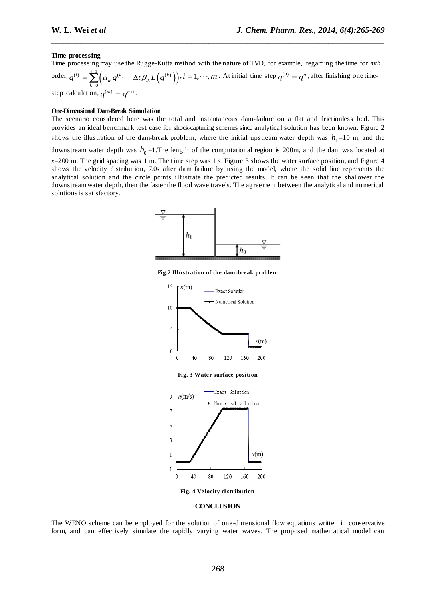#### **Time processing**

Time processing may use the Rugge-Kutta method with the nature of TVD, for example, regarding the time for *mth* order,  $q^{(i)} = \sum_{k=1}^{i=1} \Bigl( \alpha_{ik} q^{(k)} + \Delta t \beta_{ik} L\Bigl(q^{(k)}\Bigr) \Bigr),$  $\mathbf{0}$  $q^{(i)} = \sum_{k=0}^{i=1} (\alpha_{ik} q^{(k)} + \Delta t \beta_{ik} L (q^{(k)})$  $=\sum_{k=0}^{i=1} \Bigl(\alpha_{ik}q^{(k)} + \Delta t \beta_{ik} L(q^{(k)})\Bigr), i = 1, \cdots, m$ . At initial time step  $q^{(0)} = q^n$  , after finishing one timestep calculation,  $q^{(m)} = q^{n+1}$ .

*\_\_\_\_\_\_\_\_\_\_\_\_\_\_\_\_\_\_\_\_\_\_\_\_\_\_\_\_\_\_\_\_\_\_\_\_\_\_\_\_\_\_\_\_\_\_\_\_\_\_\_\_\_\_\_\_\_\_\_\_\_\_\_\_\_\_\_\_\_\_\_\_\_\_\_\_\_\_*

#### **One-Dimensional Dam-Break Simulation**

The scenario considered here was the total and instantaneous dam-failure on a flat and frictionless bed. This provides an ideal benchmark test case for shock-capturing schemes since analytical solution has been known. Figure 2 shows the illustration of the dam-break problem, where the initial upstream water depth was  $h_1 = 10$  m, and the

downstream water depth was  $h_0$ =1.The length of the computational region is 200m, and the dam was located at

*x*=200 m. The grid spacing was 1 m. The time step was 1 s. Figure 3 shows the water surface position, and Figure 4 shows the velocity distribution, 7.0s after dam failure by using the model, where the solid line represents the analytical solution and the circle points illustrate the predicted results. It can be seen that the shallower the downstream water depth, then the faster the flood wave travels. The agreement between the analytical and numerical solutions is satisfactory.



**Fig.2 Illustration of the dam-break problem**



#### **CONCLUSION**

The WENO scheme can be employed for the solution of one-dimensional flow equations written in conservative form, and can effectively simulate the rapidly varying water waves. The proposed mathematical model can